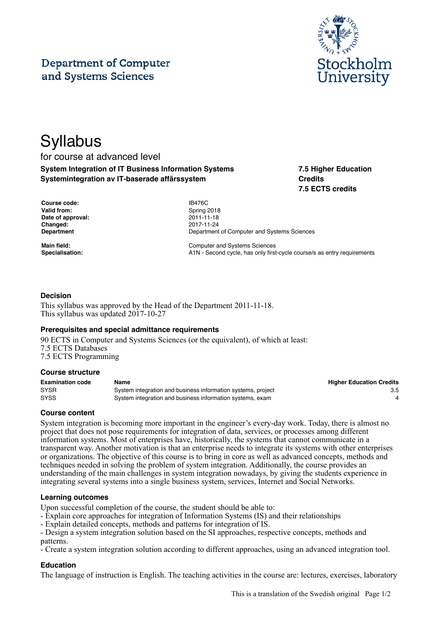## **Department of Computer** and Systems Sciences



# **Syllabus**

### for course at advanced level **System Integration of IT Business Information Systems Systemintegration av IT-baserade affärssystem**

**7.5 Higher Education Credits 7.5 ECTS credits**

| <b>Course code:</b> |
|---------------------|
| <b>Valid from:</b>  |
| Date of approval:   |
| <b>Changed:</b>     |
| Department          |

**Course code:** IB476C **Valid from:** Spring 2018 **Date of approval:** 2011-11-18 **Changed:** 2017-11-24 **Department of Computer and Systems Sciences** 

**Main field:** Computer and Systems Sciences Specialisation: **A1N** - Second cycle, has only first-cycle course/s as entry requirements

#### **Decision**

This syllabus was approved by the Head of the Department 2011-11-18. This syllabus was updated 2017-10-27

#### **Prerequisites and special admittance requirements**

90 ECTS in Computer and Systems Sciences (or the equivalent), of which at least: 7.5 ECTS Databases 7.5 ECTS Programming

#### **Course structure**

| <b>Examination code</b> | Name                                                         | <b>Higher Education Credits</b> |
|-------------------------|--------------------------------------------------------------|---------------------------------|
| <b>SYSR</b>             | System integration and business information systems, project | 3.5                             |
| <b>SYSS</b>             | System integration and business information systems, exam    |                                 |

#### **Course content**

System integration is becoming more important in the engineer's every-day work. Today, there is almost no project that does not pose requirements for integration of data, services, or processes among different information systems. Most of enterprises have, historically, the systems that cannot communicate in a transparent way. Another motivation is that an enterprise needs to integrate its systems with other enterprises or organizations. The objective of this course is to bring in core as well as advanced concepts, methods and techniques needed in solving the problem of system integration. Additionally, the course provides an understanding of the main challenges in system integration nowadays, by giving the students experience in integrating several systems into a single business system, services, Internet and Social Networks.

#### **Learning outcomes**

Upon successful completion of the course, the student should be able to:

- Explain core approaches for integration of Information Systems (IS) and their relationships

- Explain detailed concepts, methods and patterns for integration of IS.

- Design a system integration solution based on the SI approaches, respective concepts, methods and patterns.

- Create a system integration solution according to different approaches, using an advanced integration tool.

#### **Education**

The language of instruction is English. The teaching activities in the course are: lectures, exercises, laboratory